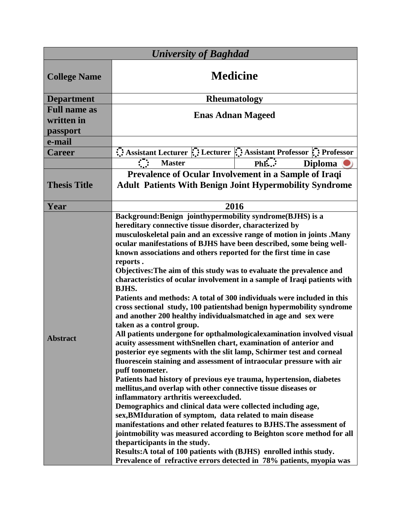| <b>University of Baghdad</b> |                                                                                                                                                                                                                                                                                                                                                                                                                                                                                                                                                                                                                                                                                                                                                                                                                                                                                                                                                                                                                                                                                                                                                                                                                                                                                                                                                                                                                                                                                                                                                                                                                                                                 |                        |  |
|------------------------------|-----------------------------------------------------------------------------------------------------------------------------------------------------------------------------------------------------------------------------------------------------------------------------------------------------------------------------------------------------------------------------------------------------------------------------------------------------------------------------------------------------------------------------------------------------------------------------------------------------------------------------------------------------------------------------------------------------------------------------------------------------------------------------------------------------------------------------------------------------------------------------------------------------------------------------------------------------------------------------------------------------------------------------------------------------------------------------------------------------------------------------------------------------------------------------------------------------------------------------------------------------------------------------------------------------------------------------------------------------------------------------------------------------------------------------------------------------------------------------------------------------------------------------------------------------------------------------------------------------------------------------------------------------------------|------------------------|--|
| <b>College Name</b>          | <b>Medicine</b>                                                                                                                                                                                                                                                                                                                                                                                                                                                                                                                                                                                                                                                                                                                                                                                                                                                                                                                                                                                                                                                                                                                                                                                                                                                                                                                                                                                                                                                                                                                                                                                                                                                 |                        |  |
| <b>Department</b>            | <b>Rheumatology</b>                                                                                                                                                                                                                                                                                                                                                                                                                                                                                                                                                                                                                                                                                                                                                                                                                                                                                                                                                                                                                                                                                                                                                                                                                                                                                                                                                                                                                                                                                                                                                                                                                                             |                        |  |
| <b>Full name as</b>          | <b>Enas Adnan Mageed</b>                                                                                                                                                                                                                                                                                                                                                                                                                                                                                                                                                                                                                                                                                                                                                                                                                                                                                                                                                                                                                                                                                                                                                                                                                                                                                                                                                                                                                                                                                                                                                                                                                                        |                        |  |
| written in                   |                                                                                                                                                                                                                                                                                                                                                                                                                                                                                                                                                                                                                                                                                                                                                                                                                                                                                                                                                                                                                                                                                                                                                                                                                                                                                                                                                                                                                                                                                                                                                                                                                                                                 |                        |  |
| passport                     |                                                                                                                                                                                                                                                                                                                                                                                                                                                                                                                                                                                                                                                                                                                                                                                                                                                                                                                                                                                                                                                                                                                                                                                                                                                                                                                                                                                                                                                                                                                                                                                                                                                                 |                        |  |
| e-mail                       |                                                                                                                                                                                                                                                                                                                                                                                                                                                                                                                                                                                                                                                                                                                                                                                                                                                                                                                                                                                                                                                                                                                                                                                                                                                                                                                                                                                                                                                                                                                                                                                                                                                                 |                        |  |
| <b>Career</b>                | Assistant Lecturer : Lecturer : Assistant Professor : Professor                                                                                                                                                                                                                                                                                                                                                                                                                                                                                                                                                                                                                                                                                                                                                                                                                                                                                                                                                                                                                                                                                                                                                                                                                                                                                                                                                                                                                                                                                                                                                                                                 |                        |  |
|                              | $\mathcal{L}_{\mathcal{A}}$<br><b>Master</b>                                                                                                                                                                                                                                                                                                                                                                                                                                                                                                                                                                                                                                                                                                                                                                                                                                                                                                                                                                                                                                                                                                                                                                                                                                                                                                                                                                                                                                                                                                                                                                                                                    | PhL.<br><b>Diploma</b> |  |
|                              | Prevalence of Ocular Involvement in a Sample of Iraqi                                                                                                                                                                                                                                                                                                                                                                                                                                                                                                                                                                                                                                                                                                                                                                                                                                                                                                                                                                                                                                                                                                                                                                                                                                                                                                                                                                                                                                                                                                                                                                                                           |                        |  |
| <b>Thesis Title</b>          | <b>Adult Patients With Benign Joint Hypermobility Syndrome</b>                                                                                                                                                                                                                                                                                                                                                                                                                                                                                                                                                                                                                                                                                                                                                                                                                                                                                                                                                                                                                                                                                                                                                                                                                                                                                                                                                                                                                                                                                                                                                                                                  |                        |  |
| Year                         | 2016                                                                                                                                                                                                                                                                                                                                                                                                                                                                                                                                                                                                                                                                                                                                                                                                                                                                                                                                                                                                                                                                                                                                                                                                                                                                                                                                                                                                                                                                                                                                                                                                                                                            |                        |  |
| <b>Abstract</b>              | Background: Benign jointhypermobility syndrome(BJHS) is a<br>hereditary connective tissue disorder, characterized by<br>musculoskeletal pain and an excessive range of motion in joints .Many<br>ocular manifestations of BJHS have been described, some being well-<br>known associations and others reported for the first time in case<br>reports.<br>Objectives: The aim of this study was to evaluate the prevalence and<br>characteristics of ocular involvement in a sample of Iraqi patients with<br>BJHS.<br>Patients and methods: A total of 300 individuals were included in this<br>cross sectional study, 100 patientshad benign hypermobility syndrome<br>and another 200 healthy individuals matched in age and sex were<br>taken as a control group.<br>All patients undergone for opthalmologicalexamination involved visual<br>acuity assessment with Snellen chart, examination of anterior and<br>posterior eye segments with the slit lamp, Schirmer test and corneal<br>fluorescein staining and assessment of intraocular pressure with air<br>puff tonometer.<br>Patients had history of previous eye trauma, hypertension, diabetes<br>mellitus, and overlap with other connective tissue diseases or<br>inflammatory arthritis were excluded.<br>Demographics and clinical data were collected including age,<br>sex, BMI duration of symptom, data related to main disease<br>manifestations and other related features to BJHS. The assessment of<br>jointmobility was measured according to Beighton score method for all<br>the participants in the study.<br>Results: A total of 100 patients with (BJHS) enrolled inthis study. |                        |  |